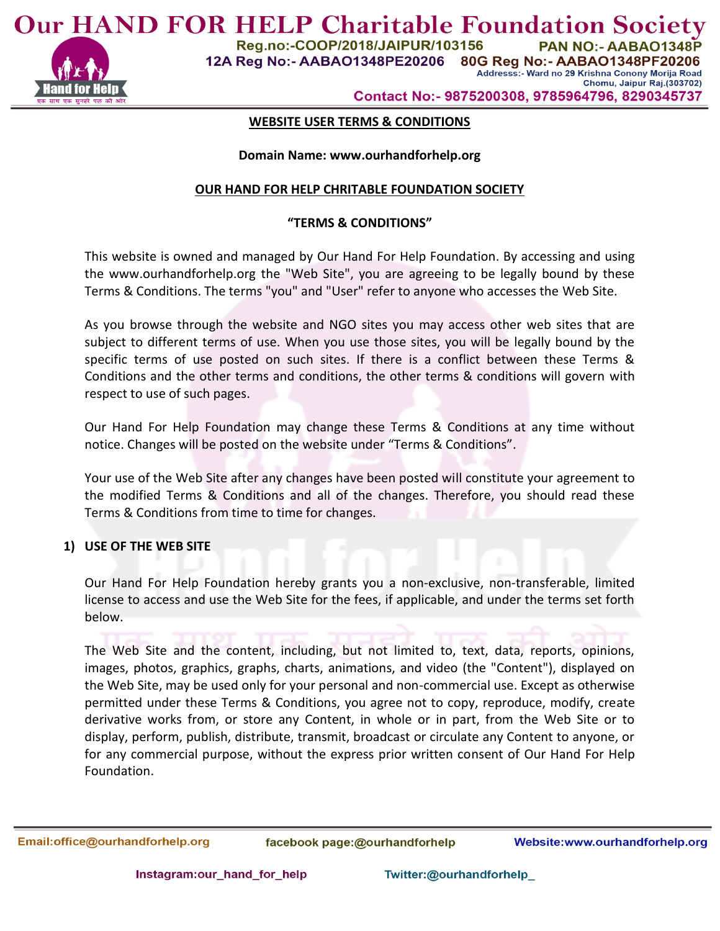

**Our HAND FOR HELP Charitable Foundation Society** Reg.no:-COOP/2018/JAIPUR/103156 PAN NO:- AABAO1348P

12A Reg No:- AABAO1348PE20206

80G Reg No:- AABAO1348PF20206 Addresss:- Ward no 29 Krishna Conony Morija Road Chomu, Jaipur Raj.(303702)

Contact No:- 9875200308, 9785964796, 8290345737

## **WEBSITE USER TERMS & CONDITIONS**

#### **Domain Name: www.ourhandforhelp.org**

### **OUR HAND FOR HELP CHRITABLE FOUNDATION SOCIETY**

## **"TERMS & CONDITIONS"**

This website is owned and managed by Our Hand For Help Foundation. By accessing and using the www.ourhandforhelp.org the "Web Site", you are agreeing to be legally bound by these Terms & Conditions. The terms "you" and "User" refer to anyone who accesses the Web Site.

As you browse through the website and NGO sites you may access other web sites that are subject to different terms of use. When you use those sites, you will be legally bound by the specific terms of use posted on such sites. If there is a conflict between these Terms & Conditions and the other terms and conditions, the other terms & conditions will govern with respect to use of such pages.

Our Hand For Help Foundation may change these Terms & Conditions at any time without notice. Changes will be posted on the website under "Terms & Conditions".

Your use of the Web Site after any changes have been posted will constitute your agreement to the modified Terms & Conditions and all of the changes. Therefore, you should read these Terms & Conditions from time to time for changes.

#### **1) USE OF THE WEB SITE**

Our Hand For Help Foundation hereby grants you a non-exclusive, non-transferable, limited license to access and use the Web Site for the fees, if applicable, and under the terms set forth below.

The Web Site and the content, including, but not limited to, text, data, reports, opinions, images, photos, graphics, graphs, charts, animations, and video (the "Content"), displayed on the Web Site, may be used only for your personal and non-commercial use. Except as otherwise permitted under these Terms & Conditions, you agree not to copy, reproduce, modify, create derivative works from, or store any Content, in whole or in part, from the Web Site or to display, perform, publish, distribute, transmit, broadcast or circulate any Content to anyone, or for any commercial purpose, without the express prior written consent of Our Hand For Help Foundation.

Email:office@ourhandforhelp.org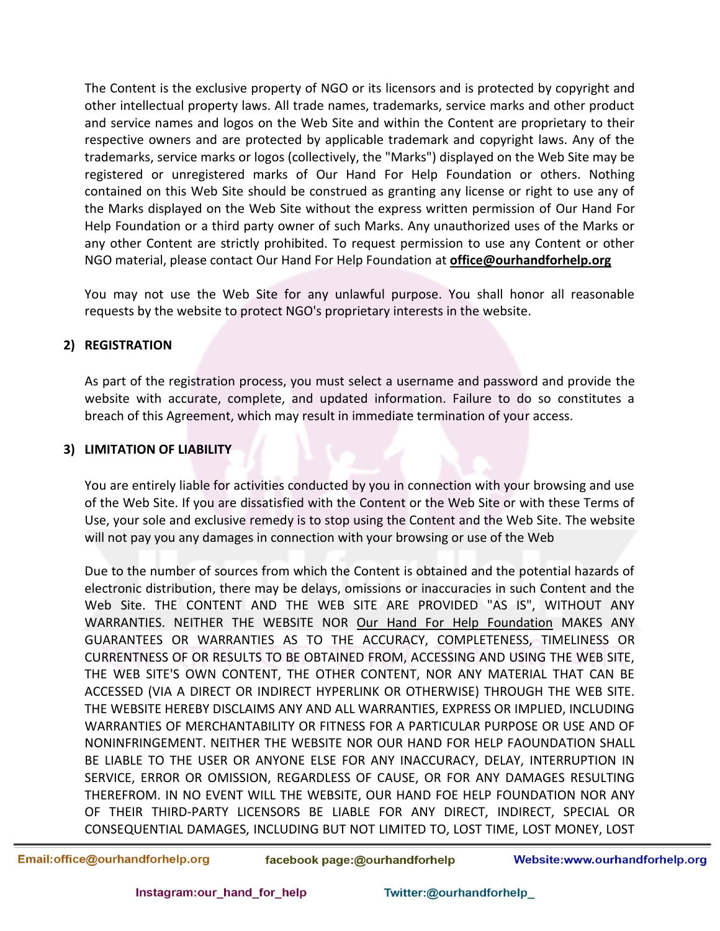The Content is the exclusive property of NGO or its licensors and is protected by copyright and other intellectual property laws. All trade names, trademarks, service marks and other product and service names and logos on the Web Site and within the Content are proprietary to their respective owners and are protected by applicable trademark and copyright laws. Any of the trademarks, service marks or logos (collectively, the "Marks") displayed on the Web Site may be registered or unregistered marks of Our Hand For Help Foundation or others. Nothing contained on this Web Site should be construed as granting any license or right to use any of the Marks displayed on the Web Site without the express written permission of Our Hand For Help Foundation or a third party owner of such Marks. Any unauthorized uses of the Marks or any other Content are strictly prohibited. To request permission to use any Content or other NGO material, please contact Our Hand For Help Foundation at **office@ourhandforhelp.org**

You may not use the Web Site for any unlawful purpose. You shall honor all reasonable requests by the website to protect NGO's proprietary interests in the website.

## **2) REGISTRATION**

As part of the registration process, you must select a username and password and provide the website with accurate, complete, and updated information. Failure to do so constitutes a breach of this Agreement, which may result in immediate termination of your access.

# **3) LIMITATION OF LIABILITY**

You are entirely liable for activities conducted by you in connection with your browsing and use of the Web Site. If you are dissatisfied with the Content or the Web Site or with these Terms of Use, your sole and exclusive remedy is to stop using the Content and the Web Site. The website will not pay you any damages in connection with your browsing or use of the Web

Due to the number of sources from which the Content is obtained and the potential hazards of electronic distribution, there may be delays, omissions or inaccuracies in such Content and the Web Site. THE CONTENT AND THE WEB SITE ARE PROVIDED "AS IS", WITHOUT ANY WARRANTIES. NEITHER THE WEBSITE NOR Our Hand For Help Foundation MAKES ANY GUARANTEES OR WARRANTIES AS TO THE ACCURACY, COMPLETENESS, TIMELINESS OR CURRENTNESS OF OR RESULTS TO BE OBTAINED FROM, ACCESSING AND USING THE WEB SITE, THE WEB SITE'S OWN CONTENT, THE OTHER CONTENT, NOR ANY MATERIAL THAT CAN BE ACCESSED (VIA A DIRECT OR INDIRECT HYPERLINK OR OTHERWISE) THROUGH THE WEB SITE. THE WEBSITE HEREBY DISCLAIMS ANY AND ALL WARRANTIES, EXPRESS OR IMPLIED, INCLUDING WARRANTIES OF MERCHANTABILITY OR FITNESS FOR A PARTICULAR PURPOSE OR USE AND OF NONINFRINGEMENT. NEITHER THE WEBSITE NOR OUR HAND FOR HELP FAOUNDATION SHALL BE LIABLE TO THE USER OR ANYONE ELSE FOR ANY INACCURACY, DELAY, INTERRUPTION IN SERVICE, ERROR OR OMISSION, REGARDLESS OF CAUSE, OR FOR ANY DAMAGES RESULTING THEREFROM. IN NO EVENT WILL THE WEBSITE, OUR HAND FOE HELP FOUNDATION NOR ANY OF THEIR THIRD-PARTY LICENSORS BE LIABLE FOR ANY DIRECT, INDIRECT, SPECIAL OR CONSEQUENTIAL DAMAGES, INCLUDING BUT NOT LIMITED TO, LOST TIME, LOST MONEY, LOST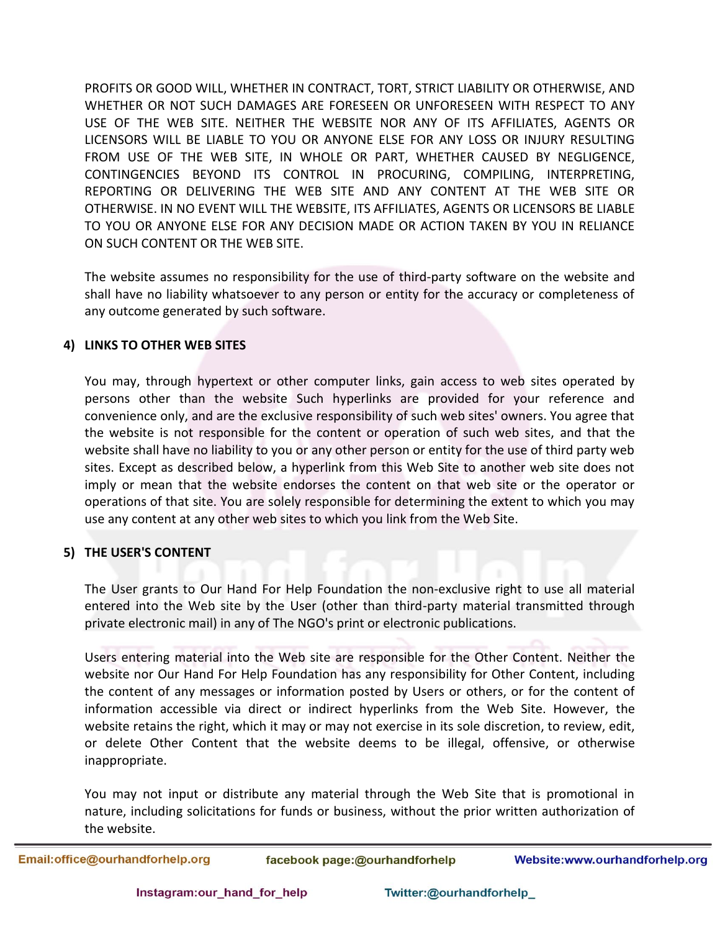PROFITS OR GOOD WILL, WHETHER IN CONTRACT, TORT, STRICT LIABILITY OR OTHERWISE, AND WHETHER OR NOT SUCH DAMAGES ARE FORESEEN OR UNFORESEEN WITH RESPECT TO ANY USE OF THE WEB SITE. NEITHER THE WEBSITE NOR ANY OF ITS AFFILIATES, AGENTS OR LICENSORS WILL BE LIABLE TO YOU OR ANYONE ELSE FOR ANY LOSS OR INJURY RESULTING FROM USE OF THE WEB SITE, IN WHOLE OR PART, WHETHER CAUSED BY NEGLIGENCE, CONTINGENCIES BEYOND ITS CONTROL IN PROCURING, COMPILING, INTERPRETING, REPORTING OR DELIVERING THE WEB SITE AND ANY CONTENT AT THE WEB SITE OR OTHERWISE. IN NO EVENT WILL THE WEBSITE, ITS AFFILIATES, AGENTS OR LICENSORS BE LIABLE TO YOU OR ANYONE ELSE FOR ANY DECISION MADE OR ACTION TAKEN BY YOU IN RELIANCE ON SUCH CONTENT OR THE WEB SITE.

The website assumes no responsibility for the use of third-party software on the website and shall have no liability whatsoever to any person or entity for the accuracy or completeness of any outcome generated by such software.

## **4) LINKS TO OTHER WEB SITES**

You may, through hypertext or other computer links, gain access to web sites operated by persons other than the website Such hyperlinks are provided for your reference and convenience only, and are the exclusive responsibility of such web sites' owners. You agree that the website is not responsible for the content or operation of such web sites, and that the website shall have no liability to you or any other person or entity for the use of third party web sites. Except as described below, a hyperlink from this Web Site to another web site does not imply or mean that the website endorses the content on that web site or the operator or operations of that site. You are solely responsible for determining the extent to which you may use any content at any other web sites to which you link from the Web Site.

## **5) THE USER'S CONTENT**

The User grants to Our Hand For Help Foundation the non-exclusive right to use all material entered into the Web site by the User (other than third-party material transmitted through private electronic mail) in any of The NGO's print or electronic publications.

Users entering material into the Web site are responsible for the Other Content. Neither the website nor Our Hand For Help Foundation has any responsibility for Other Content, including the content of any messages or information posted by Users or others, or for the content of information accessible via direct or indirect hyperlinks from the Web Site. However, the website retains the right, which it may or may not exercise in its sole discretion, to review, edit, or delete Other Content that the website deems to be illegal, offensive, or otherwise inappropriate.

You may not input or distribute any material through the Web Site that is promotional in nature, including solicitations for funds or business, without the prior written authorization of the website.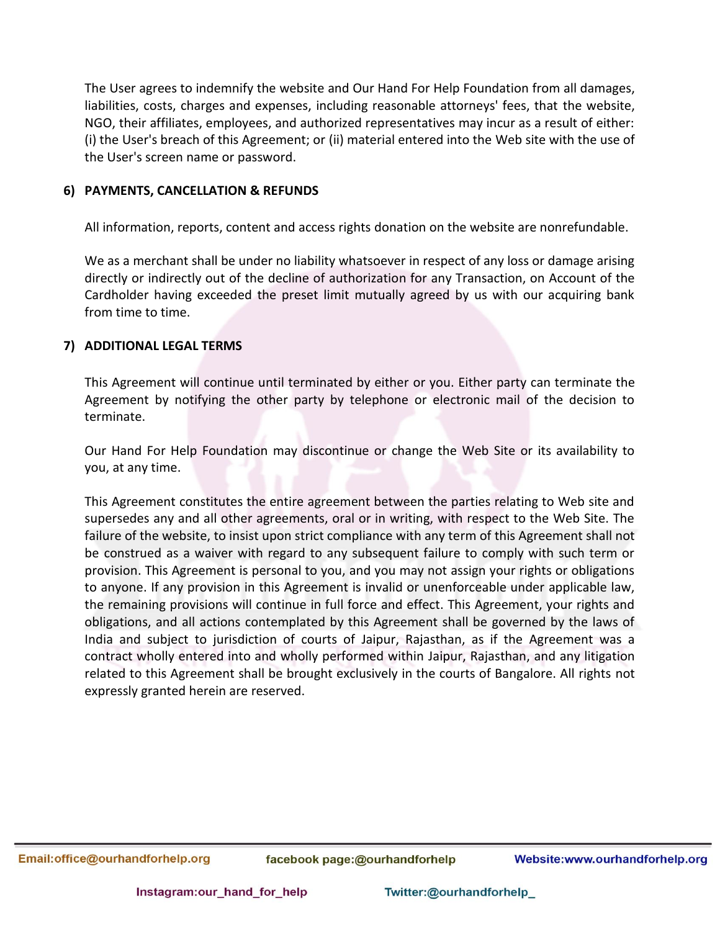The User agrees to indemnify the website and Our Hand For Help Foundation from all damages, liabilities, costs, charges and expenses, including reasonable attorneys' fees, that the website, NGO, their affiliates, employees, and authorized representatives may incur as a result of either: (i) the User's breach of this Agreement; or (ii) material entered into the Web site with the use of the User's screen name or password.

## **6) PAYMENTS, CANCELLATION & REFUNDS**

All information, reports, content and access rights donation on the website are nonrefundable.

We as a merchant shall be under no liability whatsoever in respect of any loss or damage arising directly or indirectly out of the decline of authorization for any Transaction, on Account of the Cardholder having exceeded the preset limit mutually agreed by us with our acquiring bank from time to time.

### **7) ADDITIONAL LEGAL TERMS**

This Agreement will continue until terminated by either or you. Either party can terminate the Agreement by notifying the other party by telephone or electronic mail of the decision to terminate.

Our Hand For Help Foundation may discontinue or change the Web Site or its availability to you, at any time.

This Agreement constitutes the entire agreement between the parties relating to Web site and supersedes any and all other agreements, oral or in writing, with respect to the Web Site. The failure of the website, to insist upon strict compliance with any term of this Agreement shall not be construed as a waiver with regard to any subsequent failure to comply with such term or provision. This Agreement is personal to you, and you may not assign your rights or obligations to anyone. If any provision in this Agreement is invalid or unenforceable under applicable law, the remaining provisions will continue in full force and effect. This Agreement, your rights and obligations, and all actions contemplated by this Agreement shall be governed by the laws of India and subject to jurisdiction of courts of Jaipur, Rajasthan, as if the Agreement was a contract wholly entered into and wholly performed within Jaipur, Rajasthan, and any litigation related to this Agreement shall be brought exclusively in the courts of Bangalore. All rights not expressly granted herein are reserved.